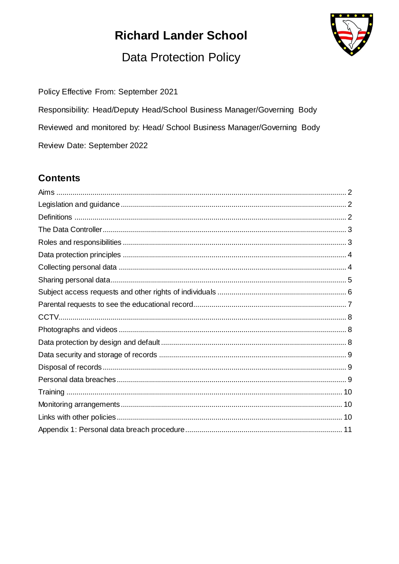# **Richard Lander School**



## **Data Protection Policy**

Policy Effective From: September 2021

Responsibility: Head/Deputy Head/School Business Manager/Governing Body Reviewed and monitored by: Head/ School Business Manager/Governing Body Review Date: September 2022

## **Contents**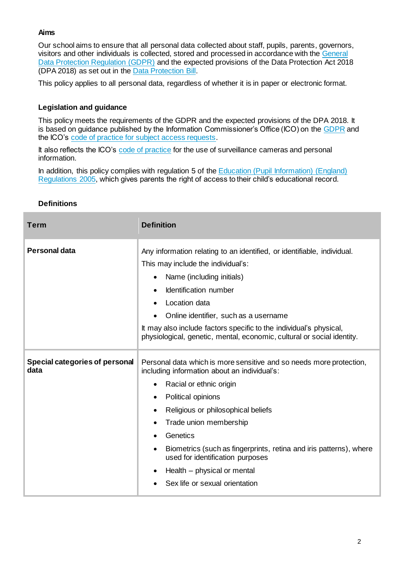## **Aims**

Our school aims to ensure that all personal data collected about staff, pupils, parents, governors, visitors and other individuals is collected, stored and processed in accordance with the [General](http://data.consilium.europa.eu/doc/document/ST-5419-2016-INIT/en/pdf)  [Data Protection Regulation \(GDPR\)](http://data.consilium.europa.eu/doc/document/ST-5419-2016-INIT/en/pdf) and the expected provisions of the Data Protection Act 2018 (DPA 2018) as set out in the [Data Protection Bill.](https://publications.parliament.uk/pa/bills/cbill/2017-2019/0153/18153.pdf)

This policy applies to all personal data, regardless of whether it is in paper or electronic format.

## **Legislation and guidance**

This policy meets the requirements of the GDPR and the expected provisions of the DPA 2018. It is based on guidance published by the Information Commissioner's Office (ICO) on th[e GDPR](https://ico.org.uk/for-organisations/guide-to-the-general-data-protection-regulation-gdpr/) and the ICO's [code of practice for subject access requests](https://ico.org.uk/media/for-organisations/documents/2014223/subject-access-code-of-practice.pdf).

It also reflects the ICO's [code of practice](https://ico.org.uk/media/for-organisations/documents/1542/cctv-code-of-practice.pdf) for the use of surveillance cameras and personal information.

In addition, this policy complies with regulation 5 of the Education (Pupil Information) (England) [Regulations 2005,](http://www.legislation.gov.uk/uksi/2005/1437/regulation/5/made) which gives parents the right of access to their child's educational record.

| <b>Term</b>                            | <b>Definition</b>                                                                                                                                                                                                                                                                                                                                                                                                                     |
|----------------------------------------|---------------------------------------------------------------------------------------------------------------------------------------------------------------------------------------------------------------------------------------------------------------------------------------------------------------------------------------------------------------------------------------------------------------------------------------|
| <b>Personal data</b>                   | Any information relating to an identified, or identifiable, individual.<br>This may include the individual's:<br>Name (including initials)<br>٠<br>Identification number<br>$\bullet$<br>Location data<br>Online identifier, such as a username<br>It may also include factors specific to the individual's physical,<br>physiological, genetic, mental, economic, cultural or social identity.                                       |
| Special categories of personal<br>data | Personal data which is more sensitive and so needs more protection,<br>including information about an individual's:<br>Racial or ethnic origin<br>Political opinions<br>٠<br>Religious or philosophical beliefs<br>٠<br>Trade union membership<br>Genetics<br>Biometrics (such as fingerprints, retina and iris patterns), where<br>used for identification purposes<br>Health – physical or mental<br>Sex life or sexual orientation |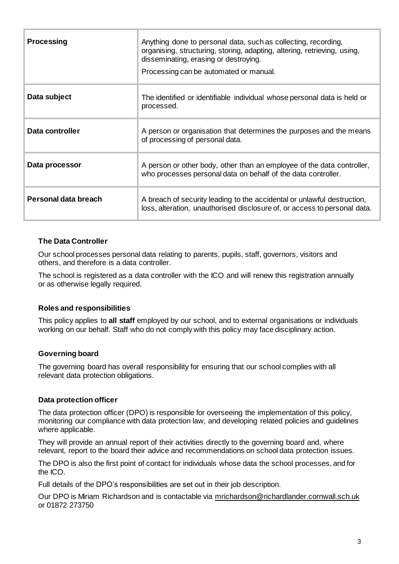| <b>Processing</b>    | Anything done to personal data, such as collecting, recording,<br>organising, structuring, storing, adapting, altering, retrieving, using,<br>disseminating, erasing or destroying.<br>Processing can be automated or manual. |
|----------------------|-------------------------------------------------------------------------------------------------------------------------------------------------------------------------------------------------------------------------------|
| Data subject         | The identified or identifiable individual whose personal data is held or<br>processed.                                                                                                                                        |
| Data controller      | A person or organisation that determines the purposes and the means<br>of processing of personal data.                                                                                                                        |
| Data processor       | A person or other body, other than an employee of the data controller,<br>who processes personal data on behalf of the data controller.                                                                                       |
| Personal data breach | A breach of security leading to the accidental or unlawful destruction,<br>loss, alteration, unauthorised disclosure of, or access to personal data.                                                                          |

#### **The Data Controller**

Our school processes personal data relating to parents, pupils, staff, governors, visitors and others, and therefore is a data controller.

The school is registered as a data controller with the ICO and will renew this registration annually or as otherwise legally required.

#### **Roles and responsibilities**

This policy applies to **all staff** employed by our school, and to external organisations or individuals working on our behalf. Staff who do not comply with this policy may face disciplinary action.

#### **Governing board**

The governing board has overall responsibility for ensuring that our school complies with all relevant data protection obligations.

#### **Data protection officer**

The data protection officer (DPO) is responsible for overseeing the implementation of this policy, monitoring our compliance with data protection law, and developing related policies and guidelines where applicable.

They will provide an annual report of their activities directly to the governing board and, where relevant, report to the board their advice and recommendations on school data protection issues.

The DPO is also the first point of contact for individuals whose data the school processes, and for the ICO.

Full details of the DPO's responsibilities are set out in their job description.

Our DPO is Miriam Richardson and is contactable via [mrichardson@richardlander.cornwall.sch.uk](mailto:mrichardson@richardlander.cornwall.sch.uk) or 01872 273750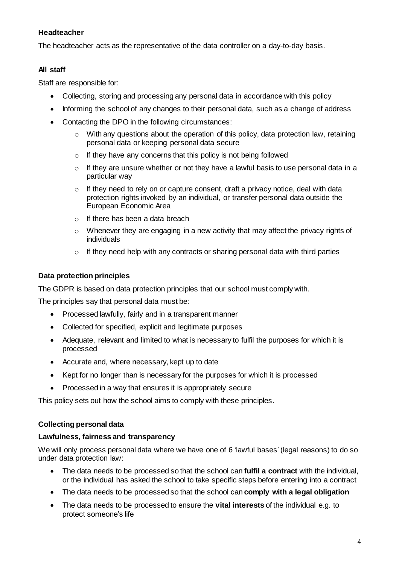## **Headteacher**

The headteacher acts as the representative of the data controller on a day-to-day basis.

## **All staff**

Staff are responsible for:

- Collecting, storing and processing any personal data in accordance with this policy
- Informing the school of any changes to their personal data, such as a change of address
- Contacting the DPO in the following circumstances:
	- o With any questions about the operation of this policy, data protection law, retaining personal data or keeping personal data secure
	- $\circ$  If they have any concerns that this policy is not being followed
	- $\circ$  If they are unsure whether or not they have a lawful basis to use personal data in a particular way
	- $\circ$  If they need to rely on or capture consent, draft a privacy notice, deal with data protection rights invoked by an individual, or transfer personal data outside the European Economic Area
	- $\circ$  If there has been a data breach
	- o Whenever they are engaging in a new activity that may affect the privacy rights of individuals
	- $\circ$  If they need help with any contracts or sharing personal data with third parties

#### **Data protection principles**

The GDPR is based on data protection principles that our school must comply with.

The principles say that personal data must be:

- Processed lawfully, fairly and in a transparent manner
- Collected for specified, explicit and legitimate purposes
- Adequate, relevant and limited to what is necessary to fulfil the purposes for which it is processed
- Accurate and, where necessary, kept up to date
- Kept for no longer than is necessary for the purposes for which it is processed
- Processed in a way that ensures it is appropriately secure

This policy sets out how the school aims to comply with these principles.

#### **Collecting personal data**

#### **Lawfulness, fairness and transparency**

We will only process personal data where we have one of 6 'lawful bases' (legal reasons) to do so under data protection law:

- The data needs to be processed so that the school can **fulfil a contract** with the individual, or the individual has asked the school to take specific steps before entering into a contract
- The data needs to be processed so that the school can **comply with a legal obligation**
- The data needs to be processed to ensure the **vital interests** of the individual e.g. to protect someone's life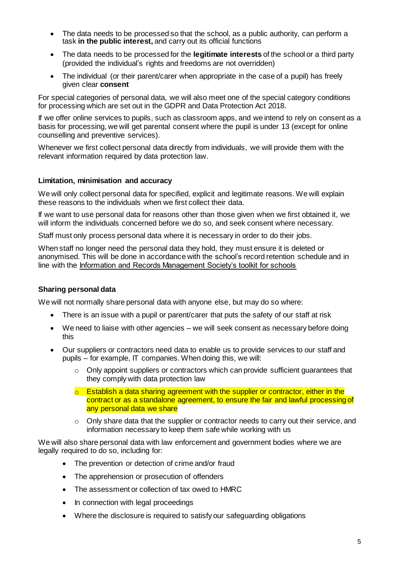- The data needs to be processed so that the school, as a public authority, can perform a task **in the public interest,** and carry out its official functions
- The data needs to be processed for the **legitimate interests** of the school or a third party (provided the individual's rights and freedoms are not overridden)
- The individual (or their parent/carer when appropriate in the case of a pupil) has freely given clear **consent**

For special categories of personal data, we will also meet one of the special category conditions for processing which are set out in the GDPR and Data Protection Act 2018.

If we offer online services to pupils, such as classroom apps, and we intend to rely on consent as a basis for processing, we will get parental consent where the pupil is under 13 (except for online counselling and preventive services).

Whenever we first collect personal data directly from individuals, we will provide them with the relevant information required by data protection law.

#### **Limitation, minimisation and accuracy**

We will only collect personal data for specified, explicit and legitimate reasons. We will explain these reasons to the individuals when we first collect their data.

If we want to use personal data for reasons other than those given when we first obtained it, we will inform the individuals concerned before we do so, and seek consent where necessary.

Staff must only process personal data where it is necessary in order to do their jobs.

When staff no longer need the personal data they hold, they must ensure it is deleted or anonymised. This will be done in accordance with the school's record retention schedule and in line with the [Information and Records Management Society's toolkit for schools](http://irms.org.uk/?page=schoolstoolkit&terms=%22toolkit+and+schools%22)

#### **Sharing personal data**

We will not normally share personal data with anyone else, but may do so where:

- There is an issue with a pupil or parent/carer that puts the safety of our staff at risk
- We need to liaise with other agencies we will seek consent as necessary before doing this
- Our suppliers or contractors need data to enable us to provide services to our staff and pupils – for example, IT companies. When doing this, we will:
	- $\circ$  Only appoint suppliers or contractors which can provide sufficient guarantees that they comply with data protection law
	- $\circ$  Establish a data sharing agreement with the supplier or contractor, either in the contract or as a standalone agreement, to ensure the fair and lawful processing of any personal data we share
	- $\circ$  Only share data that the supplier or contractor needs to carry out their service, and information necessary to keep them safe while working with us

We will also share personal data with law enforcement and government bodies where we are legally required to do so, including for:

- The prevention or detection of crime and/or fraud
- The apprehension or prosecution of offenders
- The assessment or collection of tax owed to HMRC
- In connection with legal proceedings
- Where the disclosure is required to satisfy our safeguarding obligations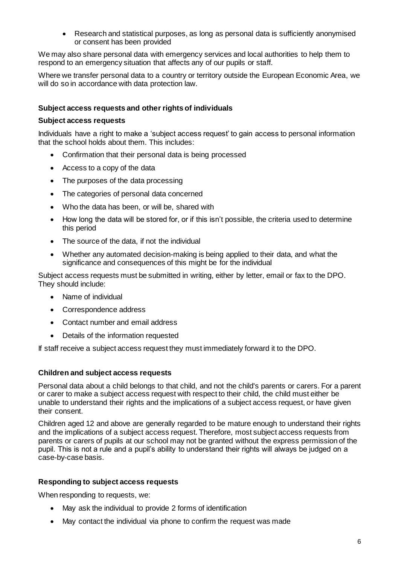Research and statistical purposes, as long as personal data is sufficiently anonymised or consent has been provided

We may also share personal data with emergency services and local authorities to help them to respond to an emergency situation that affects any of our pupils or staff.

Where we transfer personal data to a country or territory outside the European Economic Area, we will do so in accordance with data protection law.

#### **Subject access requests and other rights of individuals**

#### **Subject access requests**

Individuals have a right to make a 'subject access request' to gain access to personal information that the school holds about them. This includes:

- Confirmation that their personal data is being processed
- Access to a copy of the data
- The purposes of the data processing
- The categories of personal data concerned
- Who the data has been, or will be, shared with
- How long the data will be stored for, or if this isn't possible, the criteria used to determine this period
- The source of the data, if not the individual
- Whether any automated decision-making is being applied to their data, and what the significance and consequences of this might be for the individual

Subject access requests must be submitted in writing, either by letter, email or fax to the DPO. They should include:

- Name of individual
- Correspondence address
- Contact number and email address
- Details of the information requested

If staff receive a subject access request they must immediately forward it to the DPO.

#### **Children and subject access requests**

Personal data about a child belongs to that child, and not the child's parents or carers. For a parent or carer to make a subject access request with respect to their child, the child must either be unable to understand their rights and the implications of a subject access request, or have given their consent.

Children aged 12 and above are generally regarded to be mature enough to understand their rights and the implications of a subject access request. Therefore, most subject access requests from parents or carers of pupils at our school may not be granted without the express permission of the pupil. This is not a rule and a pupil's ability to understand their rights will always be judged on a case-by-case basis.

#### **Responding to subject access requests**

When responding to requests, we:

- May ask the individual to provide 2 forms of identification
- May contact the individual via phone to confirm the request was made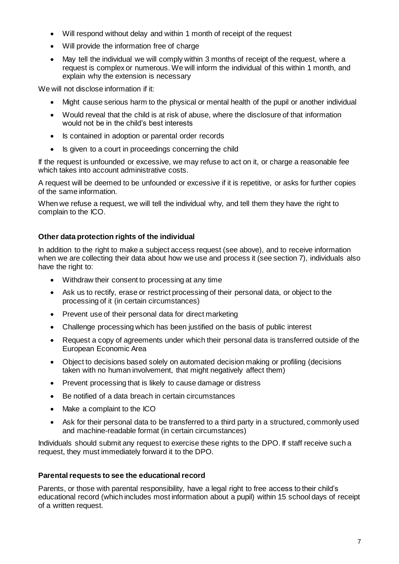- Will respond without delay and within 1 month of receipt of the request
- Will provide the information free of charge
- May tell the individual we will comply within 3 months of receipt of the request, where a request is complex or numerous. We will inform the individual of this within 1 month, and explain why the extension is necessary

We will not disclose information if it:

- Might cause serious harm to the physical or mental health of the pupil or another individual
- Would reveal that the child is at risk of abuse, where the disclosure of that information would not be in the child's best interests
- Is contained in adoption or parental order records
- Is given to a court in proceedings concerning the child

If the request is unfounded or excessive, we may refuse to act on it, or charge a reasonable fee which takes into account administrative costs.

A request will be deemed to be unfounded or excessive if it is repetitive, or asks for further copies of the same information.

When we refuse a request, we will tell the individual why, and tell them they have the right to complain to the ICO.

## **Other data protection rights of the individual**

In addition to the right to make a subject access request (see above), and to receive information when we are collecting their data about how we use and process it (see section 7), individuals also have the right to:

- Withdraw their consent to processing at any time
- Ask us to rectify, erase or restrict processing of their personal data, or object to the processing of it (in certain circumstances)
- Prevent use of their personal data for direct marketing
- Challenge processing which has been justified on the basis of public interest
- Request a copy of agreements under which their personal data is transferred outside of the European Economic Area
- Object to decisions based solely on automated decision making or profiling (decisions taken with no human involvement, that might negatively affect them)
- Prevent processing that is likely to cause damage or distress
- Be notified of a data breach in certain circumstances
- Make a complaint to the ICO
- Ask for their personal data to be transferred to a third party in a structured, commonly used and machine-readable format (in certain circumstances)

Individuals should submit any request to exercise these rights to the DPO. If staff receive such a request, they must immediately forward it to the DPO.

## **Parental requests to see the educational record**

Parents, or those with parental responsibility, have a legal right to free access to their child's educational record (which includes most information about a pupil) within 15 school days of receipt of a written request.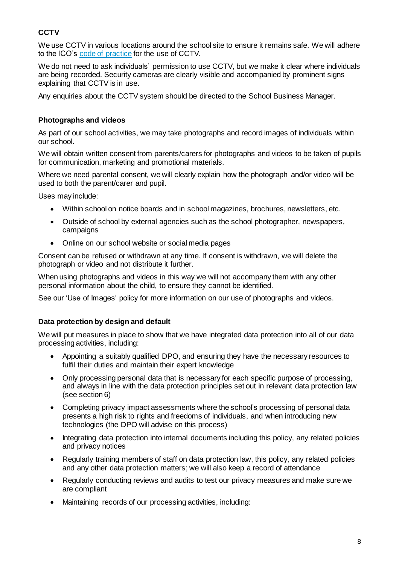## **CCTV**

We use CCTV in various locations around the school site to ensure it remains safe. We will adhere to the ICO's [code of practice](https://ico.org.uk/media/for-organisations/documents/1542/cctv-code-of-practice.pdf) for the use of CCTV.

We do not need to ask individuals' permission to use CCTV, but we make it clear where individuals are being recorded. Security cameras are clearly visible and accompanied by prominent signs explaining that CCTV is in use.

Any enquiries about the CCTV system should be directed to the School Business Manager.

## **Photographs and videos**

As part of our school activities, we may take photographs and record images of individuals within our school.

We will obtain written consent from parents/carers for photographs and videos to be taken of pupils for communication, marketing and promotional materials.

Where we need parental consent, we will clearly explain how the photograph and/or video will be used to both the parent/carer and pupil.

Uses may include:

- Within school on notice boards and in school magazines, brochures, newsletters, etc.
- Outside of school by external agencies such as the school photographer, newspapers, campaigns
- Online on our school website or social media pages

Consent can be refused or withdrawn at any time. If consent is withdrawn, we will delete the photograph or video and not distribute it further.

When using photographs and videos in this way we will not accompany them with any other personal information about the child, to ensure they cannot be identified.

See our 'Use of Images' policy for more information on our use of photographs and videos.

## **Data protection by design and default**

We will put measures in place to show that we have integrated data protection into all of our data processing activities, including:

- Appointing a suitably qualified DPO, and ensuring they have the necessary resources to fulfil their duties and maintain their expert knowledge
- Only processing personal data that is necessary for each specific purpose of processing, and always in line with the data protection principles set out in relevant data protection law (see section 6)
- Completing privacy impact assessments where the school's processing of personal data presents a high risk to rights and freedoms of individuals, and when introducing new technologies (the DPO will advise on this process)
- Integrating data protection into internal documents including this policy, any related policies and privacy notices
- Regularly training members of staff on data protection law, this policy, any related policies and any other data protection matters; we will also keep a record of attendance
- Regularly conducting reviews and audits to test our privacy measures and make sure we are compliant
- Maintaining records of our processing activities, including: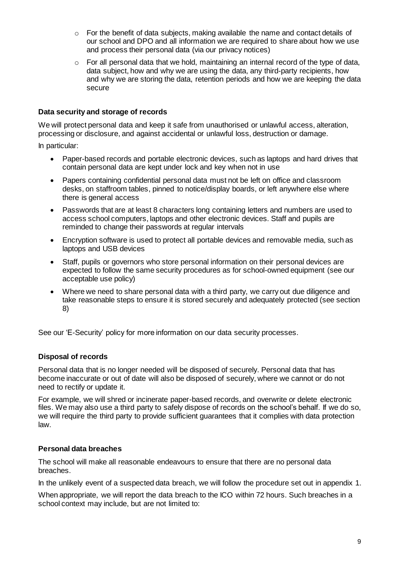- o For the benefit of data subjects, making available the name and contact details of our school and DPO and all information we are required to share about how we use and process their personal data (via our privacy notices)
- o For all personal data that we hold, maintaining an internal record of the type of data, data subject, how and why we are using the data, any third-party recipients, how and why we are storing the data, retention periods and how we are keeping the data secure

#### **Data security and storage of records**

We will protect personal data and keep it safe from unauthorised or unlawful access, alteration, processing or disclosure, and against accidental or unlawful loss, destruction or damage.

In particular:

- Paper-based records and portable electronic devices, such as laptops and hard drives that contain personal data are kept under lock and key when not in use
- Papers containing confidential personal data must not be left on office and classroom desks, on staffroom tables, pinned to notice/display boards, or left anywhere else where there is general access
- Passwords that are at least 8 characters long containing letters and numbers are used to access school computers, laptops and other electronic devices. Staff and pupils are reminded to change their passwords at regular intervals
- Encryption software is used to protect all portable devices and removable media, such as laptops and USB devices
- Staff, pupils or governors who store personal information on their personal devices are expected to follow the same security procedures as for school-owned equipment (see our acceptable use policy)
- Where we need to share personal data with a third party, we carry out due diligence and take reasonable steps to ensure it is stored securely and adequately protected (see section 8)

See our 'E-Security' policy for more information on our data security processes.

#### **Disposal of records**

Personal data that is no longer needed will be disposed of securely. Personal data that has become inaccurate or out of date will also be disposed of securely, where we cannot or do not need to rectify or update it.

For example, we will shred or incinerate paper-based records, and overwrite or delete electronic files. We may also use a third party to safely dispose of records on the school's behalf. If we do so, we will require the third party to provide sufficient guarantees that it complies with data protection law.

#### **Personal data breaches**

The school will make all reasonable endeavours to ensure that there are no personal data breaches.

In the unlikely event of a suspected data breach, we will follow the procedure set out in appendix 1.

When appropriate, we will report the data breach to the ICO within 72 hours. Such breaches in a school context may include, but are not limited to: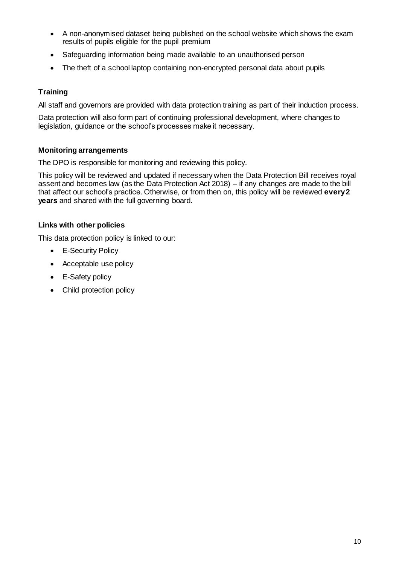- A non-anonymised dataset being published on the school website which shows the exam results of pupils eligible for the pupil premium
- Safeguarding information being made available to an unauthorised person
- The theft of a school laptop containing non-encrypted personal data about pupils

#### **Training**

All staff and governors are provided with data protection training as part of their induction process.

Data protection will also form part of continuing professional development, where changes to legislation, guidance or the school's processes make it necessary.

#### **Monitoring arrangements**

The DPO is responsible for monitoring and reviewing this policy.

This policy will be reviewed and updated if necessary when the Data Protection Bill receives royal assent and becomes law (as the Data Protection Act 2018) – if any changes are made to the bill that affect our school's practice. Otherwise, or from then on, this policy will be reviewed **every 2 years** and shared with the full governing board.

#### **Links with other policies**

This data protection policy is linked to our:

- E-Security Policy
- Acceptable use policy
- E-Safety policy
- Child protection policy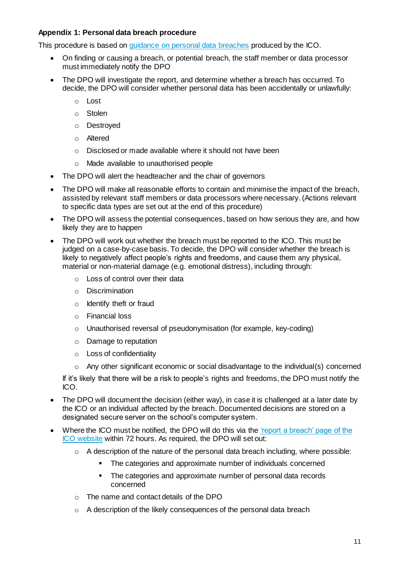## **Appendix 1: Personal data breach procedure**

This procedure is based o[n guidance on personal data breaches](https://ico.org.uk/for-organisations/guide-to-the-general-data-protection-regulation-gdpr/personal-data-breaches/) produced by the ICO.

- On finding or causing a breach, or potential breach, the staff member or data processor must immediately notify the DPO
- The DPO will investigate the report, and determine whether a breach has occurred. To decide, the DPO will consider whether personal data has been accidentally or unlawfully:
	- o Lost
	- o Stolen
	- o Destroyed
	- o Altered
	- o Disclosed or made available where it should not have been
	- o Made available to unauthorised people
- The DPO will alert the headteacher and the chair of governors
- The DPO will make all reasonable efforts to contain and minimise the impact of the breach, assisted by relevant staff members or data processors where necessary. (Actions relevant to specific data types are set out at the end of this procedure)
- The DPO will assess the potential consequences, based on how serious they are, and how likely they are to happen
- The DPO will work out whether the breach must be reported to the ICO. This must be judged on a case-by-case basis. To decide, the DPO will consider whether the breach is likely to negatively affect people's rights and freedoms, and cause them any physical, material or non-material damage (e.g. emotional distress), including through:
	- o Loss of control over their data
	- o Discrimination
	- o Identify theft or fraud
	- o Financial loss
	- o Unauthorised reversal of pseudonymisation (for example, key-coding)
	- o Damage to reputation
	- o Loss of confidentiality
	- $\circ$  Any other significant economic or social disadvantage to the individual(s) concerned

If it's likely that there will be a risk to people's rights and freedoms, the DPO must notify the ICO.

- The DPO will document the decision (either way), in case it is challenged at a later date by the ICO or an individual affected by the breach. Documented decisions are stored on a designated secure server on the school's computer system.
- Where the ICO must be notified, the DPO will do this via the ['report a breach' page of the](https://ico.org.uk/for-organisations/report-a-breach/)  [ICO website](https://ico.org.uk/for-organisations/report-a-breach/) within 72 hours. As required, the DPO will set out:
	- $\circ$  A description of the nature of the personal data breach including, where possible:
		- The categories and approximate number of individuals concerned
		- The categories and approximate number of personal data records concerned
	- o The name and contact details of the DPO
	- o A description of the likely consequences of the personal data breach